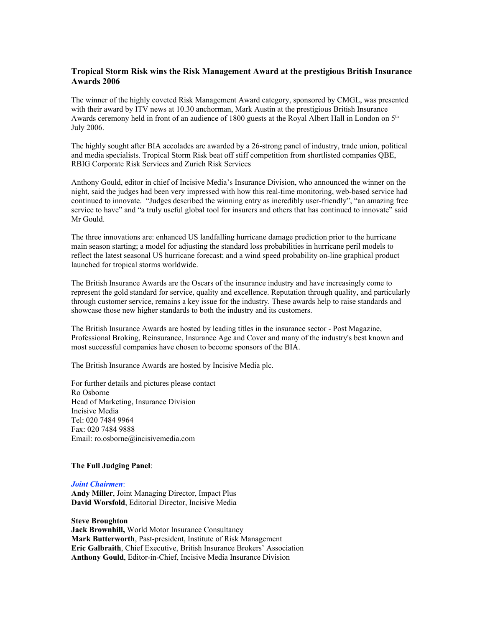## **Tropical Storm Risk wins the Risk Management Award at the prestigious British Insurance Awards 2006**

The winner of the highly coveted Risk Management Award category, sponsored by CMGL, was presented with their award by ITV news at 10.30 anchorman, Mark Austin at the prestigious British Insurance Awards ceremony held in front of an audience of 1800 guests at the Royal Albert Hall in London on  $5<sup>th</sup>$ July 2006.

The highly sought after BIA accolades are awarded by a 26-strong panel of industry, trade union, political and media specialists. Tropical Storm Risk beat off stiff competition from shortlisted companies QBE, RBIG Corporate Risk Services and Zurich Risk Services

Anthony Gould, editor in chief of Incisive Media's Insurance Division, who announced the winner on the night, said the judges had been very impressed with how this real-time monitoring, web-based service had continued to innovate. "Judges described the winning entry as incredibly user-friendly", "an amazing free service to have" and "a truly useful global tool for insurers and others that has continued to innovate" said Mr Gould.

The three innovations are: enhanced US landfalling hurricane damage prediction prior to the hurricane main season starting; a model for adjusting the standard loss probabilities in hurricane peril models to reflect the latest seasonal US hurricane forecast; and a wind speed probability on-line graphical product launched for tropical storms worldwide.

The British Insurance Awards are the Oscars of the insurance industry and have increasingly come to represent the gold standard for service, quality and excellence. Reputation through quality, and particularly through customer service, remains a key issue for the industry. These awards help to raise standards and showcase those new higher standards to both the industry and its customers.

The British Insurance Awards are hosted by leading titles in the insurance sector - Post Magazine, Professional Broking, Reinsurance, Insurance Age and Cover and many of the industry's best known and most successful companies have chosen to become sponsors of the BIA.

The British Insurance Awards are hosted by Incisive Media plc.

For further details and pictures please contact Ro Osborne Head of Marketing, Insurance Division Incisive Media Tel: 020 7484 9964 Fax: 020 7484 9888 Email: ro.osborne@incisivemedia.com

## **The Full Judging Panel**:

## *Joint Chairmen*:

**Andy Miller**, Joint Managing Director, Impact Plus **David Worsfold**, Editorial Director, Incisive Media

## **Steve Broughton**

**Jack Brownhill,** World Motor Insurance Consultancy **Mark Butterworth**, Past-president, Institute of Risk Management **Eric Galbraith**, Chief Executive, British Insurance Brokers' Association **Anthony Gould**, Editor-in-Chief, Incisive Media Insurance Division